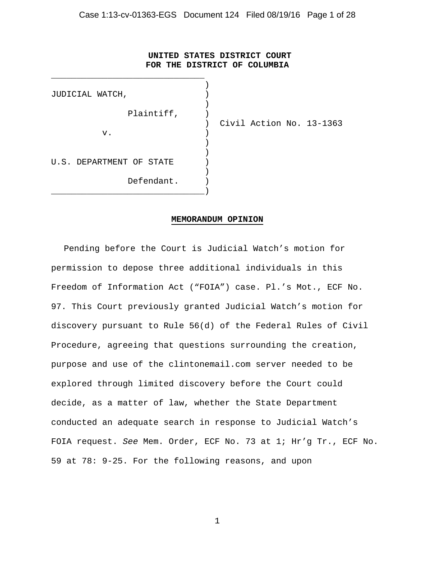## **UNITED STATES DISTRICT COURT FOR THE DISTRICT OF COLUMBIA**

| JUDICIAL WATCH,          |                          |
|--------------------------|--------------------------|
| Plaintiff,               |                          |
| v.                       | Civil Action No. 13-1363 |
| U.S. DEPARTMENT OF STATE |                          |
| Defendant.               |                          |

#### **MEMORANDUM OPINION**

Pending before the Court is Judicial Watch's motion for permission to depose three additional individuals in this Freedom of Information Act ("FOIA") case. Pl.'s Mot., ECF No. 97. This Court previously granted Judicial Watch's motion for discovery pursuant to Rule 56(d) of the Federal Rules of Civil Procedure, agreeing that questions surrounding the creation, purpose and use of the clintonemail.com server needed to be explored through limited discovery before the Court could decide, as a matter of law, whether the State Department conducted an adequate search in response to Judicial Watch's FOIA request. *See* Mem. Order, ECF No. 73 at 1; Hr'g Tr., ECF No. 59 at 78: 9-25. For the following reasons, and upon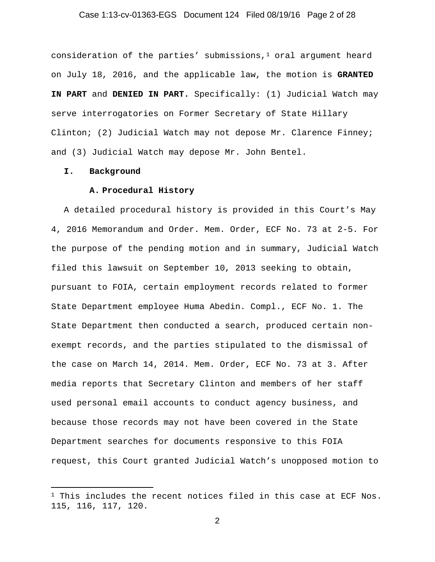## Case 1:13-cv-01363-EGS Document 124 Filed 08/19/16 Page 2 of 28

consideration of the parties' submissions, $1$  oral argument heard on July 18, 2016, and the applicable law, the motion is **GRANTED IN PART** and **DENIED IN PART.** Specifically: (1) Judicial Watch may serve interrogatories on Former Secretary of State Hillary Clinton; (2) Judicial Watch may not depose Mr. Clarence Finney; and (3) Judicial Watch may depose Mr. John Bentel.

#### **I. Background**

 $\overline{a}$ 

#### **A. Procedural History**

A detailed procedural history is provided in this Court's May 4, 2016 Memorandum and Order. Mem. Order, ECF No. 73 at 2-5. For the purpose of the pending motion and in summary, Judicial Watch filed this lawsuit on September 10, 2013 seeking to obtain, pursuant to FOIA, certain employment records related to former State Department employee Huma Abedin. Compl., ECF No. 1. The State Department then conducted a search, produced certain nonexempt records, and the parties stipulated to the dismissal of the case on March 14, 2014. Mem. Order, ECF No. 73 at 3. After media reports that Secretary Clinton and members of her staff used personal email accounts to conduct agency business, and because those records may not have been covered in the State Department searches for documents responsive to this FOIA request, this Court granted Judicial Watch's unopposed motion to

 $1$  This includes the recent notices filed in this case at ECF Nos. 115, 116, 117, 120.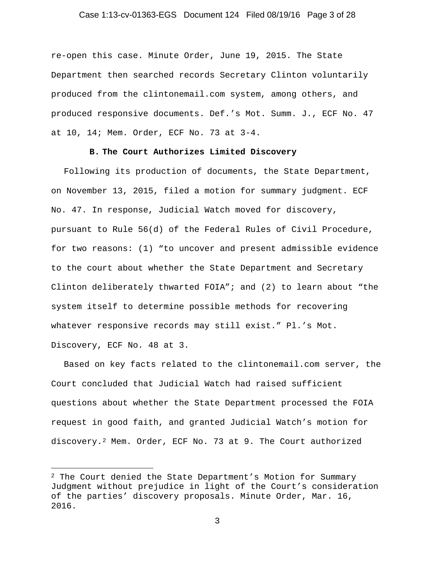#### Case 1:13-cv-01363-EGS Document 124 Filed 08/19/16 Page 3 of 28

re-open this case. Minute Order, June 19, 2015. The State Department then searched records Secretary Clinton voluntarily produced from the clintonemail.com system, among others, and produced responsive documents. Def.'s Mot. Summ. J., ECF No. 47 at 10, 14; Mem. Order, ECF No. 73 at 3-4.

## **B. The Court Authorizes Limited Discovery**

Following its production of documents, the State Department, on November 13, 2015, filed a motion for summary judgment. ECF No. 47. In response, Judicial Watch moved for discovery, pursuant to Rule 56(d) of the Federal Rules of Civil Procedure, for two reasons: (1) "to uncover and present admissible evidence to the court about whether the State Department and Secretary Clinton deliberately thwarted FOIA"; and (2) to learn about "the system itself to determine possible methods for recovering whatever responsive records may still exist." Pl.'s Mot. Discovery, ECF No. 48 at 3.

Based on key facts related to the clintonemail.com server, the Court concluded that Judicial Watch had raised sufficient questions about whether the State Department processed the FOIA request in good faith, and granted Judicial Watch's motion for discovery.2 Mem. Order, ECF No. 73 at 9. The Court authorized

<sup>&</sup>lt;sup>2</sup> The Court denied the State Department's Motion for Summary Judgment without prejudice in light of the Court's consideration of the parties' discovery proposals. Minute Order, Mar. 16, 2016.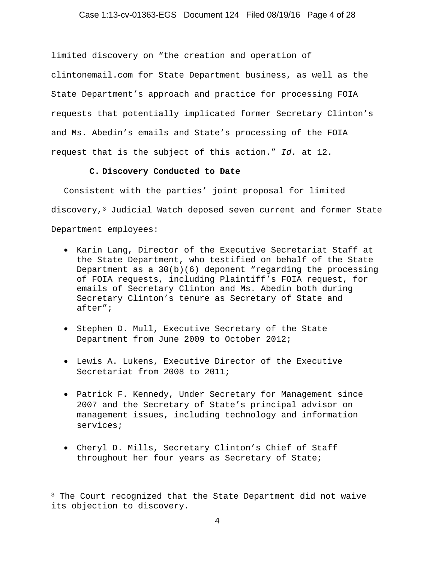## Case 1:13-cv-01363-EGS Document 124 Filed 08/19/16 Page 4 of 28

limited discovery on "the creation and operation of clintonemail.com for State Department business, as well as the State Department's approach and practice for processing FOIA requests that potentially implicated former Secretary Clinton's and Ms. Abedin's emails and State's processing of the FOIA request that is the subject of this action." *Id.* at 12.

## **C. Discovery Conducted to Date**

Consistent with the parties' joint proposal for limited discovery,<sup>3</sup> Judicial Watch deposed seven current and former State Department employees:

- Karin Lang, Director of the Executive Secretariat Staff at the State Department, who testified on behalf of the State Department as a 30(b)(6) deponent "regarding the processing of FOIA requests, including Plaintiff's FOIA request, for emails of Secretary Clinton and Ms. Abedin both during Secretary Clinton's tenure as Secretary of State and after";
- Stephen D. Mull, Executive Secretary of the State Department from June 2009 to October 2012;
- Lewis A. Lukens, Executive Director of the Executive Secretariat from 2008 to 2011;
- Patrick F. Kennedy, Under Secretary for Management since 2007 and the Secretary of State's principal advisor on management issues, including technology and information services;
- Cheryl D. Mills, Secretary Clinton's Chief of Staff throughout her four years as Secretary of State;

<sup>&</sup>lt;sup>3</sup> The Court recognized that the State Department did not waive its objection to discovery.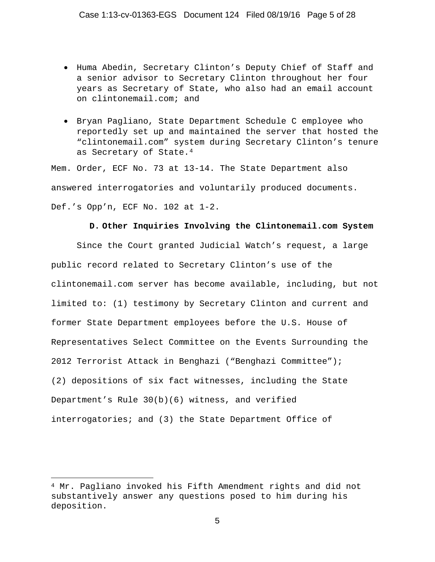- Huma Abedin, Secretary Clinton's Deputy Chief of Staff and a senior advisor to Secretary Clinton throughout her four years as Secretary of State, who also had an email account on clintonemail.com; and
- Bryan Pagliano, State Department Schedule C employee who reportedly set up and maintained the server that hosted the "clintonemail.com" system during Secretary Clinton's tenure as Secretary of State.<sup>4</sup>

Mem. Order, ECF No. 73 at 13-14. The State Department also answered interrogatories and voluntarily produced documents. Def.'s Opp'n, ECF No. 102 at 1-2.

## **D. Other Inquiries Involving the Clintonemail.com System**

 Since the Court granted Judicial Watch's request, a large public record related to Secretary Clinton's use of the clintonemail.com server has become available, including, but not limited to: (1) testimony by Secretary Clinton and current and former State Department employees before the U.S. House of Representatives Select Committee on the Events Surrounding the 2012 Terrorist Attack in Benghazi ("Benghazi Committee"); (2) depositions of six fact witnesses, including the State Department's Rule 30(b)(6) witness, and verified interrogatories; and (3) the State Department Office of

<sup>4</sup> Mr. Pagliano invoked his Fifth Amendment rights and did not substantively answer any questions posed to him during his deposition.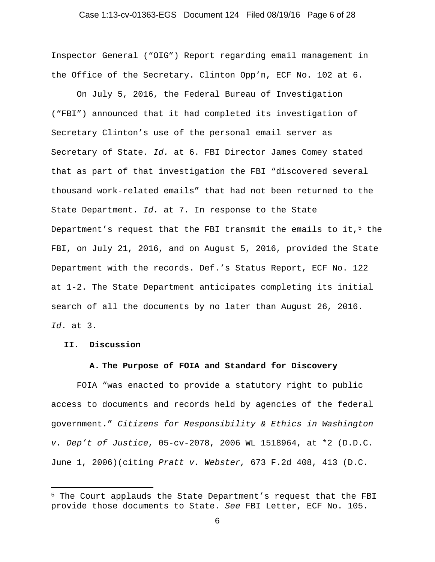## Case 1:13-cv-01363-EGS Document 124 Filed 08/19/16 Page 6 of 28

Inspector General ("OIG") Report regarding email management in the Office of the Secretary. Clinton Opp'n, ECF No. 102 at 6.

 On July 5, 2016, the Federal Bureau of Investigation ("FBI") announced that it had completed its investigation of Secretary Clinton's use of the personal email server as Secretary of State. *Id.* at 6. FBI Director James Comey stated that as part of that investigation the FBI "discovered several thousand work-related emails" that had not been returned to the State Department. *Id.* at 7. In response to the State Department's request that the FBI transmit the emails to it, $5$  the FBI, on July 21, 2016, and on August 5, 2016, provided the State Department with the records. Def.'s Status Report, ECF No. 122 at 1-2. The State Department anticipates completing its initial search of all the documents by no later than August 26, 2016. *Id*. at 3.

#### **II. Discussion**

 $\overline{a}$ 

#### **A. The Purpose of FOIA and Standard for Discovery**

FOIA "was enacted to provide a statutory right to public access to documents and records held by agencies of the federal government." *Citizens for Responsibility & Ethics in Washington v. Dep't of Justice*, 05-cv-2078, 2006 WL 1518964, at \*2 (D.D.C. June 1, 2006)(citing *Pratt v. Webster,* 673 F.2d 408, 413 (D.C.

<sup>5</sup> The Court applauds the State Department's request that the FBI provide those documents to State. *See* FBI Letter, ECF No. 105.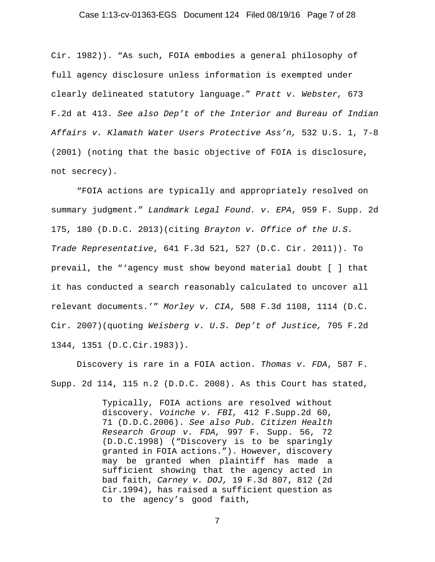#### Case 1:13-cv-01363-EGS Document 124 Filed 08/19/16 Page 7 of 28

Cir. 1982)). "As such, FOIA embodies a general philosophy of full agency disclosure unless information is exempted under clearly delineated statutory language." *Pratt v. Webster,* 673 F.2d at 413. *See also Dep't of the Interior and Bureau of Indian Affairs v. Klamath Water Users Protective Ass'n,* 532 U.S. 1, 7-8 (2001) (noting that the basic objective of FOIA is disclosure, not secrecy).

"FOIA actions are typically and appropriately resolved on summary judgment." *Landmark Legal Found. v. EPA*, 959 F. Supp. 2d 175, 180 (D.D.C. 2013)(citing *Brayton v. Office of the U.S. Trade Representative*, 641 F.3d 521, 527 (D.C. Cir. 2011)). To prevail, the "'agency must show beyond material doubt [ ] that it has conducted a search reasonably calculated to uncover all relevant documents.'" *Morley v. CIA*, 508 F.3d 1108, 1114 (D.C. Cir. 2007)(quoting *Weisberg v. U.S. Dep't of Justice,* 705 F.2d 1344, 1351 (D.C.Cir.1983)).

Discovery is rare in a FOIA action. *Thomas v. FDA*, 587 F. Supp. 2d 114, 115 n.2 (D.D.C. 2008). As this Court has stated,

> Typically, FOIA actions are resolved without discovery. *Voinche v. FBI,* 412 F.Supp.2d 60, 71 (D.D.C.2006). *See also Pub. Citizen Health Research Group v. FDA,* 997 F. Supp. 56, 72 (D.D.C.1998) ("Discovery is to be sparingly granted in FOIA actions."). However, discovery may be granted when plaintiff has made a sufficient showing that the agency acted in bad faith, *Carney v. DOJ,* 19 F.3d 807, 812 (2d Cir.1994), has raised a sufficient question as to the agency's good faith,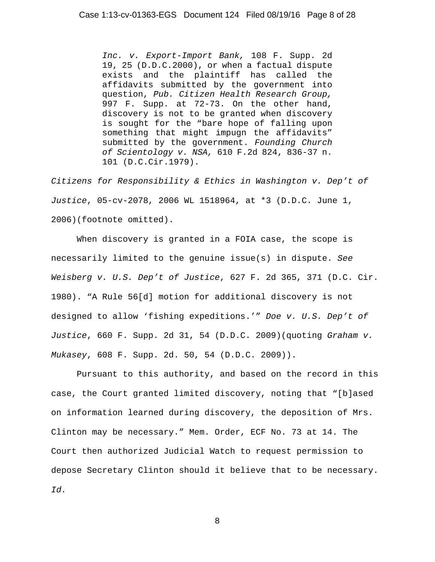*Inc. v. Export-Import Bank,* 108 F. Supp. 2d 19, 25 (D.D.C.2000), or when a factual dispute exists and the plaintiff has called the affidavits submitted by the government into question, *Pub. Citizen Health Research Group,* 997 F. Supp. at 72-73. On the other hand, discovery is not to be granted when discovery is sought for the "bare hope of falling upon something that might impugn the affidavits" submitted by the government. *Founding Church of Scientology v. NSA,* 610 F.2d 824, 836-37 n. 101 (D.C.Cir.1979).

*Citizens for Responsibility & Ethics in Washington v. Dep't of Justice*, 05-cv-2078, 2006 WL 1518964, at \*3 (D.D.C. June 1, 2006)(footnote omitted).

When discovery is granted in a FOIA case, the scope is necessarily limited to the genuine issue(s) in dispute. *See Weisberg v. U.S. Dep't of Justice*, 627 F. 2d 365, 371 (D.C. Cir. 1980). "A Rule 56[d] motion for additional discovery is not designed to allow 'fishing expeditions.'" *Doe v. U.S. Dep't of Justice*, 660 F. Supp. 2d 31, 54 (D.D.C. 2009)(quoting *Graham v. Mukasey*, 608 F. Supp. 2d. 50, 54 (D.D.C. 2009)).

Pursuant to this authority, and based on the record in this case, the Court granted limited discovery, noting that "[b]ased on information learned during discovery, the deposition of Mrs. Clinton may be necessary." Mem. Order, ECF No. 73 at 14. The Court then authorized Judicial Watch to request permission to depose Secretary Clinton should it believe that to be necessary. *Id.*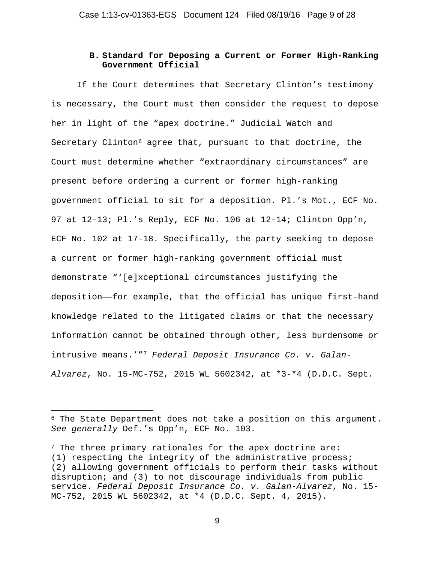# **B. Standard for Deposing a Current or Former High-Ranking Government Official**

If the Court determines that Secretary Clinton's testimony is necessary, the Court must then consider the request to depose her in light of the "apex doctrine." Judicial Watch and Secretary Clinton<sup>6</sup> agree that, pursuant to that doctrine, the Court must determine whether "extraordinary circumstances" are present before ordering a current or former high-ranking government official to sit for a deposition. Pl.'s Mot., ECF No. 97 at 12-13; Pl.'s Reply, ECF No. 106 at 12-14; Clinton Opp'n, ECF No. 102 at 17-18. Specifically, the party seeking to depose a current or former high-ranking government official must demonstrate "'[e]xceptional circumstances justifying the deposition——for example, that the official has unique first-hand knowledge related to the litigated claims or that the necessary information cannot be obtained through other, less burdensome or intrusive means.'"7 *Federal Deposit Insurance Co. v. Galan-Alvarez*, No. 15-MC-752, 2015 WL 5602342, at \*3-\*4 (D.D.C. Sept.

 $\overline{a}$ 

<sup>6</sup> The State Department does not take a position on this argument. *See generally* Def.'s Opp'n, ECF No. 103.

<sup>7</sup> The three primary rationales for the apex doctrine are: (1) respecting the integrity of the administrative process; (2) allowing government officials to perform their tasks without disruption; and (3) to not discourage individuals from public service. *Federal Deposit Insurance Co. v. Galan-Alvarez*, No. 15- MC-752, 2015 WL 5602342, at \*4 (D.D.C. Sept. 4, 2015).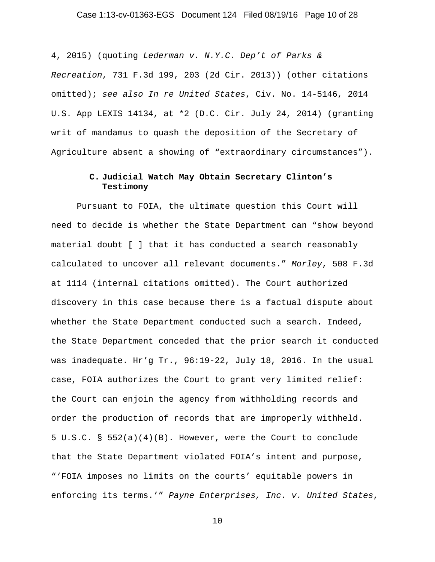## Case 1:13-cv-01363-EGS Document 124 Filed 08/19/16 Page 10 of 28

4, 2015) (quoting *Lederman v. N.Y.C. Dep't of Parks & Recreation*, 731 F.3d 199, 203 (2d Cir. 2013)) (other citations omitted); *see also In re United States*, Civ. No. 14-5146, 2014 U.S. App LEXIS 14134, at \*2 (D.C. Cir. July 24, 2014) (granting writ of mandamus to quash the deposition of the Secretary of Agriculture absent a showing of "extraordinary circumstances").

# **C. Judicial Watch May Obtain Secretary Clinton's Testimony**

Pursuant to FOIA, the ultimate question this Court will need to decide is whether the State Department can "show beyond material doubt [ ] that it has conducted a search reasonably calculated to uncover all relevant documents." *Morley*, 508 F.3d at 1114 (internal citations omitted). The Court authorized discovery in this case because there is a factual dispute about whether the State Department conducted such a search. Indeed, the State Department conceded that the prior search it conducted was inadequate. Hr'g Tr., 96:19-22, July 18, 2016. In the usual case, FOIA authorizes the Court to grant very limited relief: the Court can enjoin the agency from withholding records and order the production of records that are improperly withheld. 5 U.S.C. § 552(a)(4)(B). However, were the Court to conclude that the State Department violated FOIA's intent and purpose, "'FOIA imposes no limits on the courts' equitable powers in enforcing its terms.'" *Payne Enterprises, Inc. v. United States*,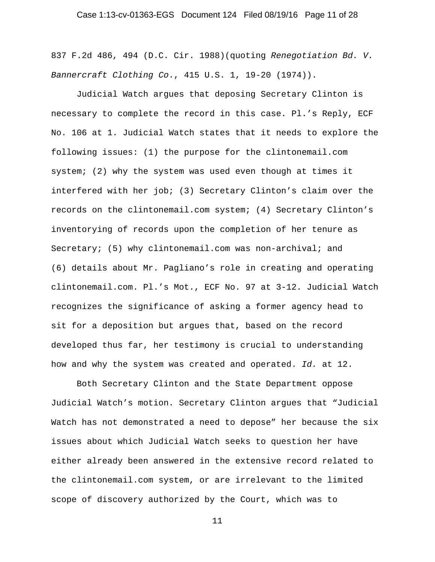## Case 1:13-cv-01363-EGS Document 124 Filed 08/19/16 Page 11 of 28

837 F.2d 486, 494 (D.C. Cir. 1988)(quoting *Renegotiation Bd. V. Bannercraft Clothing Co*., 415 U.S. 1, 19-20 (1974)).

Judicial Watch argues that deposing Secretary Clinton is necessary to complete the record in this case. Pl.'s Reply, ECF No. 106 at 1. Judicial Watch states that it needs to explore the following issues: (1) the purpose for the clintonemail.com system; (2) why the system was used even though at times it interfered with her job; (3) Secretary Clinton's claim over the records on the clintonemail.com system; (4) Secretary Clinton's inventorying of records upon the completion of her tenure as Secretary; (5) why clintonemail.com was non-archival; and (6) details about Mr. Pagliano's role in creating and operating clintonemail.com. Pl.'s Mot., ECF No. 97 at 3-12. Judicial Watch recognizes the significance of asking a former agency head to sit for a deposition but argues that, based on the record developed thus far, her testimony is crucial to understanding how and why the system was created and operated. *Id.* at 12.

Both Secretary Clinton and the State Department oppose Judicial Watch's motion. Secretary Clinton argues that "Judicial Watch has not demonstrated a need to depose" her because the six issues about which Judicial Watch seeks to question her have either already been answered in the extensive record related to the clintonemail.com system, or are irrelevant to the limited scope of discovery authorized by the Court, which was to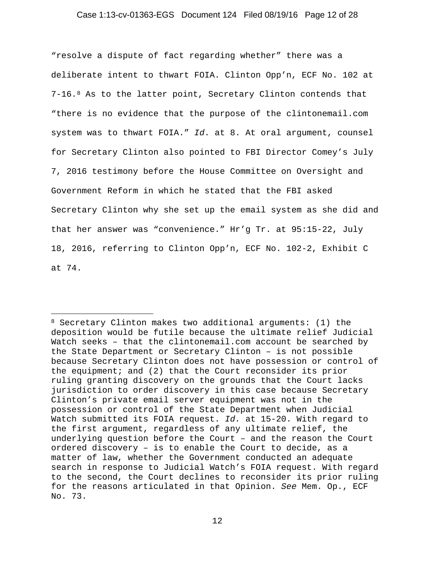## Case 1:13-cv-01363-EGS Document 124 Filed 08/19/16 Page 12 of 28

"resolve a dispute of fact regarding whether" there was a deliberate intent to thwart FOIA. Clinton Opp'n, ECF No. 102 at 7-16.8 As to the latter point, Secretary Clinton contends that "there is no evidence that the purpose of the clintonemail.com system was to thwart FOIA." *Id*. at 8. At oral argument, counsel for Secretary Clinton also pointed to FBI Director Comey's July 7, 2016 testimony before the House Committee on Oversight and Government Reform in which he stated that the FBI asked Secretary Clinton why she set up the email system as she did and that her answer was "convenience." Hr'g Tr. at 95:15-22, July 18, 2016, referring to Clinton Opp'n, ECF No. 102-2, Exhibit C at 74.

<sup>8</sup> Secretary Clinton makes two additional arguments: (1) the deposition would be futile because the ultimate relief Judicial Watch seeks – that the clintonemail.com account be searched by the State Department or Secretary Clinton – is not possible because Secretary Clinton does not have possession or control of the equipment; and (2) that the Court reconsider its prior ruling granting discovery on the grounds that the Court lacks jurisdiction to order discovery in this case because Secretary Clinton's private email server equipment was not in the possession or control of the State Department when Judicial Watch submitted its FOIA request. *Id.* at 15-20. With regard to the first argument, regardless of any ultimate relief, the underlying question before the Court – and the reason the Court ordered discovery – is to enable the Court to decide, as a matter of law, whether the Government conducted an adequate search in response to Judicial Watch's FOIA request. With regard to the second, the Court declines to reconsider its prior ruling for the reasons articulated in that Opinion. *See* Mem. Op., ECF No. 73.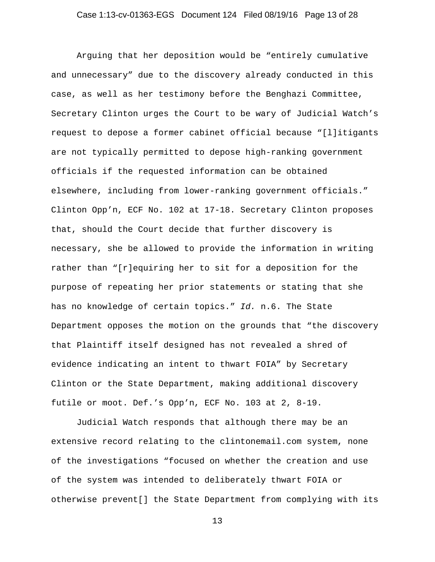Arguing that her deposition would be "entirely cumulative and unnecessary" due to the discovery already conducted in this case, as well as her testimony before the Benghazi Committee, Secretary Clinton urges the Court to be wary of Judicial Watch's request to depose a former cabinet official because "[l]itigants are not typically permitted to depose high-ranking government officials if the requested information can be obtained elsewhere, including from lower-ranking government officials." Clinton Opp'n, ECF No. 102 at 17-18. Secretary Clinton proposes that, should the Court decide that further discovery is necessary, she be allowed to provide the information in writing rather than "[r]equiring her to sit for a deposition for the purpose of repeating her prior statements or stating that she has no knowledge of certain topics." *Id.* n.6. The State Department opposes the motion on the grounds that "the discovery that Plaintiff itself designed has not revealed a shred of evidence indicating an intent to thwart FOIA" by Secretary Clinton or the State Department, making additional discovery futile or moot. Def.'s Opp'n, ECF No. 103 at 2, 8-19.

Judicial Watch responds that although there may be an extensive record relating to the clintonemail.com system, none of the investigations "focused on whether the creation and use of the system was intended to deliberately thwart FOIA or otherwise prevent[] the State Department from complying with its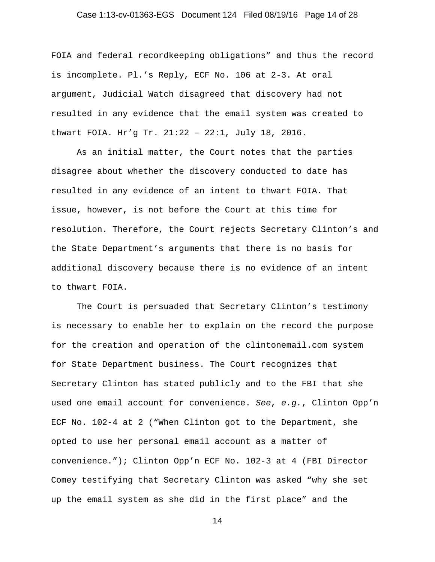## Case 1:13-cv-01363-EGS Document 124 Filed 08/19/16 Page 14 of 28

FOIA and federal recordkeeping obligations" and thus the record is incomplete. Pl.'s Reply, ECF No. 106 at 2-3. At oral argument, Judicial Watch disagreed that discovery had not resulted in any evidence that the email system was created to thwart FOIA. Hr'g Tr. 21:22 – 22:1, July 18, 2016.

As an initial matter, the Court notes that the parties disagree about whether the discovery conducted to date has resulted in any evidence of an intent to thwart FOIA. That issue, however, is not before the Court at this time for resolution. Therefore, the Court rejects Secretary Clinton's and the State Department's arguments that there is no basis for additional discovery because there is no evidence of an intent to thwart FOIA.

 The Court is persuaded that Secretary Clinton's testimony is necessary to enable her to explain on the record the purpose for the creation and operation of the clintonemail.com system for State Department business. The Court recognizes that Secretary Clinton has stated publicly and to the FBI that she used one email account for convenience. *See*, *e.g.*, Clinton Opp'n ECF No. 102-4 at 2 ("When Clinton got to the Department, she opted to use her personal email account as a matter of convenience."); Clinton Opp'n ECF No. 102-3 at 4 (FBI Director Comey testifying that Secretary Clinton was asked "why she set up the email system as she did in the first place" and the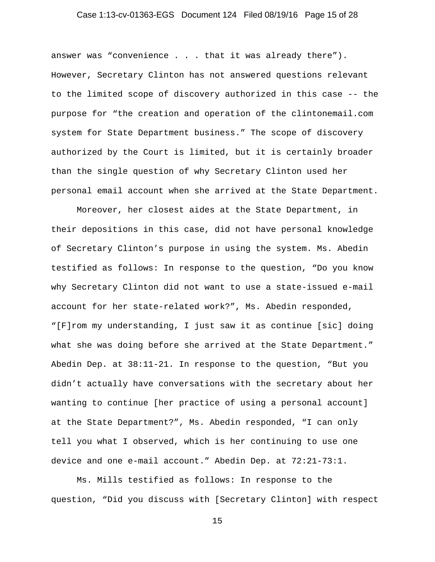## Case 1:13-cv-01363-EGS Document 124 Filed 08/19/16 Page 15 of 28

answer was "convenience . . . that it was already there"). However, Secretary Clinton has not answered questions relevant to the limited scope of discovery authorized in this case -- the purpose for "the creation and operation of the clintonemail.com system for State Department business." The scope of discovery authorized by the Court is limited, but it is certainly broader than the single question of why Secretary Clinton used her personal email account when she arrived at the State Department.

Moreover, her closest aides at the State Department, in their depositions in this case, did not have personal knowledge of Secretary Clinton's purpose in using the system. Ms. Abedin testified as follows: In response to the question, "Do you know why Secretary Clinton did not want to use a state-issued e-mail account for her state-related work?", Ms. Abedin responded, "[F]rom my understanding, I just saw it as continue [sic] doing what she was doing before she arrived at the State Department." Abedin Dep. at 38:11-21. In response to the question, "But you didn't actually have conversations with the secretary about her wanting to continue [her practice of using a personal account] at the State Department?", Ms. Abedin responded, "I can only tell you what I observed, which is her continuing to use one device and one e-mail account." Abedin Dep. at 72:21-73:1.

Ms. Mills testified as follows: In response to the question, "Did you discuss with [Secretary Clinton] with respect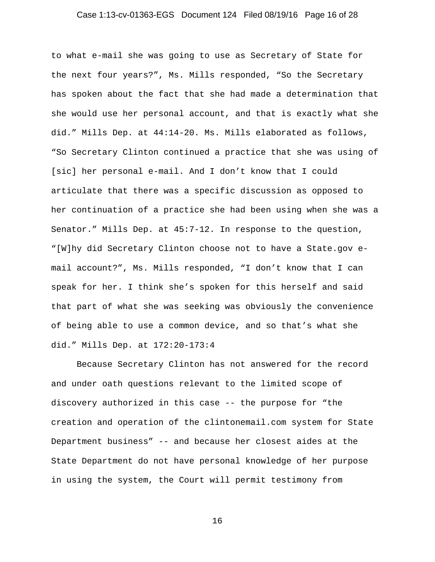## Case 1:13-cv-01363-EGS Document 124 Filed 08/19/16 Page 16 of 28

to what e-mail she was going to use as Secretary of State for the next four years?", Ms. Mills responded, "So the Secretary has spoken about the fact that she had made a determination that she would use her personal account, and that is exactly what she did." Mills Dep. at 44:14-20. Ms. Mills elaborated as follows, "So Secretary Clinton continued a practice that she was using of [sic] her personal e-mail. And I don't know that I could articulate that there was a specific discussion as opposed to her continuation of a practice she had been using when she was a Senator." Mills Dep. at 45:7-12. In response to the question, "[W]hy did Secretary Clinton choose not to have a State.gov email account?", Ms. Mills responded, "I don't know that I can speak for her. I think she's spoken for this herself and said that part of what she was seeking was obviously the convenience of being able to use a common device, and so that's what she did." Mills Dep. at 172:20-173:4

Because Secretary Clinton has not answered for the record and under oath questions relevant to the limited scope of discovery authorized in this case -- the purpose for "the creation and operation of the clintonemail.com system for State Department business" -- and because her closest aides at the State Department do not have personal knowledge of her purpose in using the system, the Court will permit testimony from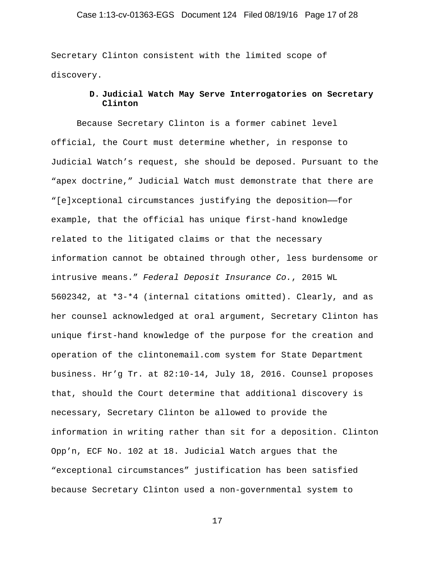## Case 1:13-cv-01363-EGS Document 124 Filed 08/19/16 Page 17 of 28

Secretary Clinton consistent with the limited scope of discovery.

# **D. Judicial Watch May Serve Interrogatories on Secretary Clinton**

Because Secretary Clinton is a former cabinet level official, the Court must determine whether, in response to Judicial Watch's request, she should be deposed. Pursuant to the "apex doctrine," Judicial Watch must demonstrate that there are "[e]xceptional circumstances justifying the deposition——for example, that the official has unique first-hand knowledge related to the litigated claims or that the necessary information cannot be obtained through other, less burdensome or intrusive means." *Federal Deposit Insurance Co.*, 2015 WL 5602342, at \*3-\*4 (internal citations omitted). Clearly, and as her counsel acknowledged at oral argument, Secretary Clinton has unique first-hand knowledge of the purpose for the creation and operation of the clintonemail.com system for State Department business. Hr'g Tr. at 82:10-14, July 18, 2016. Counsel proposes that, should the Court determine that additional discovery is necessary, Secretary Clinton be allowed to provide the information in writing rather than sit for a deposition. Clinton Opp'n, ECF No. 102 at 18. Judicial Watch argues that the "exceptional circumstances" justification has been satisfied because Secretary Clinton used a non-governmental system to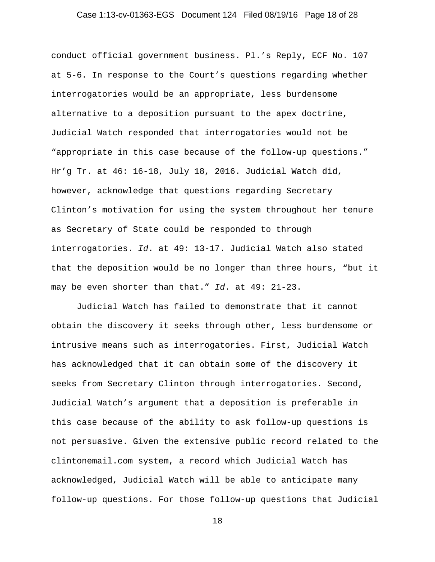## Case 1:13-cv-01363-EGS Document 124 Filed 08/19/16 Page 18 of 28

conduct official government business. Pl.'s Reply, ECF No. 107 at 5-6. In response to the Court's questions regarding whether interrogatories would be an appropriate, less burdensome alternative to a deposition pursuant to the apex doctrine, Judicial Watch responded that interrogatories would not be "appropriate in this case because of the follow-up questions." Hr'g Tr. at 46: 16-18, July 18, 2016. Judicial Watch did, however, acknowledge that questions regarding Secretary Clinton's motivation for using the system throughout her tenure as Secretary of State could be responded to through interrogatories. *Id*. at 49: 13-17. Judicial Watch also stated that the deposition would be no longer than three hours, "but it may be even shorter than that." *Id*. at 49: 21-23.

Judicial Watch has failed to demonstrate that it cannot obtain the discovery it seeks through other, less burdensome or intrusive means such as interrogatories. First, Judicial Watch has acknowledged that it can obtain some of the discovery it seeks from Secretary Clinton through interrogatories. Second, Judicial Watch's argument that a deposition is preferable in this case because of the ability to ask follow-up questions is not persuasive. Given the extensive public record related to the clintonemail.com system, a record which Judicial Watch has acknowledged, Judicial Watch will be able to anticipate many follow-up questions. For those follow-up questions that Judicial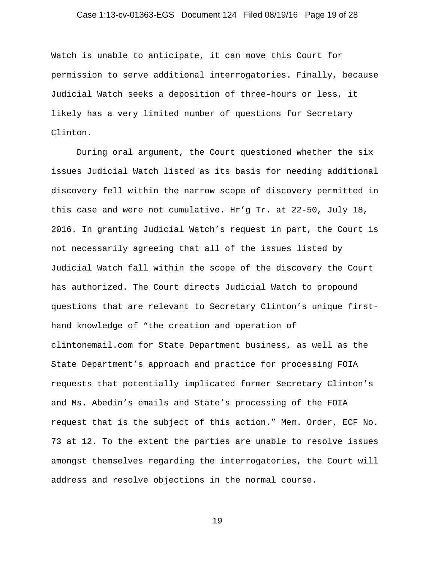## Case 1:13-cv-01363-EGS Document 124 Filed 08/19/16 Page 19 of 28

Watch is unable to anticipate, it can move this Court for permission to serve additional interrogatories. Finally, because Judicial Watch seeks a deposition of three-hours or less, it likely has a very limited number of questions for Secretary Clinton.

During oral argument, the Court questioned whether the six issues Judicial Watch listed as its basis for needing additional discovery fell within the narrow scope of discovery permitted in this case and were not cumulative. Hr'g Tr. at 22-50, July 18, 2016. In granting Judicial Watch's request in part, the Court is not necessarily agreeing that all of the issues listed by Judicial Watch fall within the scope of the discovery the Court has authorized. The Court directs Judicial Watch to propound questions that are relevant to Secretary Clinton's unique firsthand knowledge of "the creation and operation of clintonemail.com for State Department business, as well as the State Department's approach and practice for processing FOIA requests that potentially implicated former Secretary Clinton's and Ms. Abedin's emails and State's processing of the FOIA request that is the subject of this action." Mem. Order, ECF No. 73 at 12. To the extent the parties are unable to resolve issues amongst themselves regarding the interrogatories, the Court will address and resolve objections in the normal course.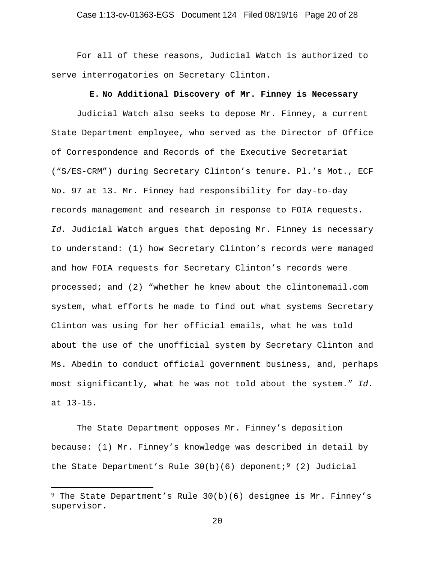For all of these reasons, Judicial Watch is authorized to serve interrogatories on Secretary Clinton.

## **E. No Additional Discovery of Mr. Finney is Necessary**

Judicial Watch also seeks to depose Mr. Finney, a current State Department employee, who served as the Director of Office of Correspondence and Records of the Executive Secretariat ("S/ES-CRM") during Secretary Clinton's tenure. Pl.'s Mot., ECF No. 97 at 13. Mr. Finney had responsibility for day-to-day records management and research in response to FOIA requests. *Id.* Judicial Watch argues that deposing Mr. Finney is necessary to understand: (1) how Secretary Clinton's records were managed and how FOIA requests for Secretary Clinton's records were processed; and (2) "whether he knew about the clintonemail.com system, what efforts he made to find out what systems Secretary Clinton was using for her official emails, what he was told about the use of the unofficial system by Secretary Clinton and Ms. Abedin to conduct official government business, and, perhaps most significantly, what he was not told about the system." *Id.* at 13-15.

The State Department opposes Mr. Finney's deposition because: (1) Mr. Finney's knowledge was described in detail by the State Department's Rule  $30(b)(6)$  deponent;<sup>9</sup> (2) Judicial

<sup>&</sup>lt;sup>9</sup> The State Department's Rule  $30(b)(6)$  designee is Mr. Finney's supervisor.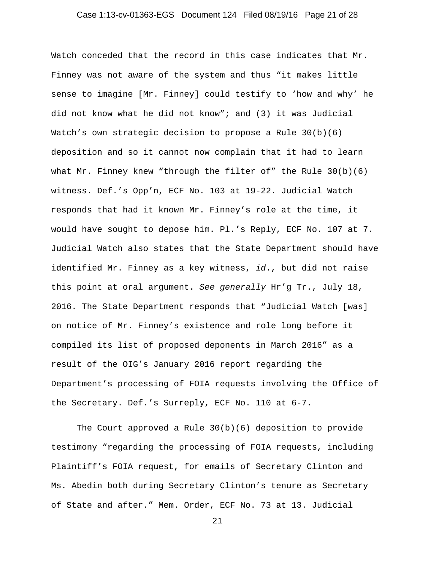## Case 1:13-cv-01363-EGS Document 124 Filed 08/19/16 Page 21 of 28

Watch conceded that the record in this case indicates that Mr. Finney was not aware of the system and thus "it makes little sense to imagine [Mr. Finney] could testify to 'how and why' he did not know what he did not know"; and (3) it was Judicial Watch's own strategic decision to propose a Rule  $30(b)(6)$ deposition and so it cannot now complain that it had to learn what Mr. Finney knew "through the filter of" the Rule 30(b)(6) witness. Def.'s Opp'n, ECF No. 103 at 19-22. Judicial Watch responds that had it known Mr. Finney's role at the time, it would have sought to depose him. Pl.'s Reply, ECF No. 107 at 7. Judicial Watch also states that the State Department should have identified Mr. Finney as a key witness, *id*., but did not raise this point at oral argument. *See generally* Hr'g Tr., July 18, 2016. The State Department responds that "Judicial Watch [was] on notice of Mr. Finney's existence and role long before it compiled its list of proposed deponents in March 2016" as a result of the OIG's January 2016 report regarding the Department's processing of FOIA requests involving the Office of the Secretary. Def.'s Surreply, ECF No. 110 at 6-7.

The Court approved a Rule 30(b)(6) deposition to provide testimony "regarding the processing of FOIA requests, including Plaintiff's FOIA request, for emails of Secretary Clinton and Ms. Abedin both during Secretary Clinton's tenure as Secretary of State and after." Mem. Order, ECF No. 73 at 13. Judicial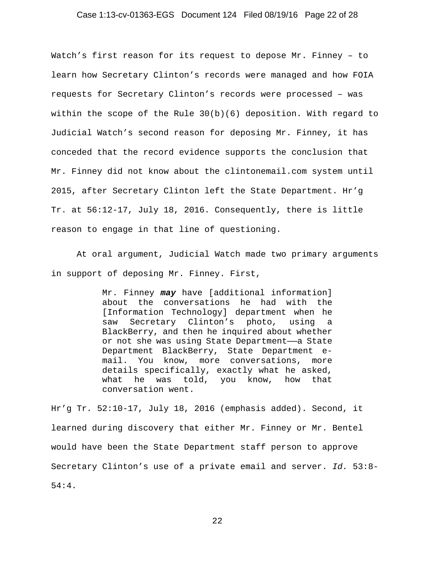## Case 1:13-cv-01363-EGS Document 124 Filed 08/19/16 Page 22 of 28

Watch's first reason for its request to depose Mr. Finney – to learn how Secretary Clinton's records were managed and how FOIA requests for Secretary Clinton's records were processed – was within the scope of the Rule  $30(b)(6)$  deposition. With regard to Judicial Watch's second reason for deposing Mr. Finney, it has conceded that the record evidence supports the conclusion that Mr. Finney did not know about the clintonemail.com system until 2015, after Secretary Clinton left the State Department. Hr'g Tr. at 56:12-17, July 18, 2016. Consequently, there is little reason to engage in that line of questioning.

At oral argument, Judicial Watch made two primary arguments in support of deposing Mr. Finney. First,

> Mr. Finney *may* have [additional information] about the conversations he had with the [Information Technology] department when he saw Secretary Clinton's photo, using a BlackBerry, and then he inquired about whether or not she was using State Department-a State Department BlackBerry, State Department email. You know, more conversations, more details specifically, exactly what he asked, what he was told, you know, how that conversation went.

Hr'g Tr*.* 52:10-17, July 18, 2016 (emphasis added). Second, it learned during discovery that either Mr. Finney or Mr. Bentel would have been the State Department staff person to approve Secretary Clinton's use of a private email and server. *Id.* 53:8- 54:4.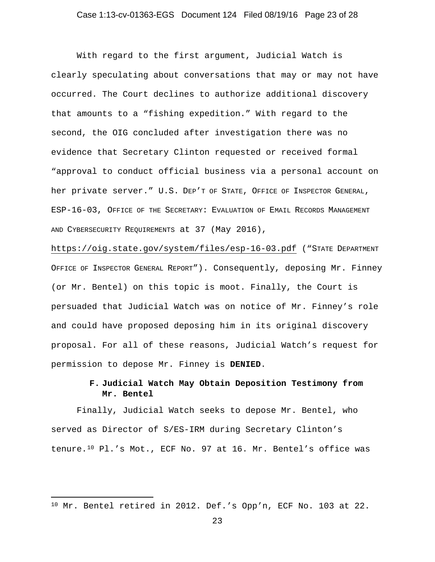With regard to the first argument, Judicial Watch is clearly speculating about conversations that may or may not have occurred. The Court declines to authorize additional discovery that amounts to a "fishing expedition." With regard to the second, the OIG concluded after investigation there was no evidence that Secretary Clinton requested or received formal "approval to conduct official business via a personal account on her private server." U.S. DEP'T OF STATE, OFFICE OF INSPECTOR GENERAL, ESP-16-03, OFFICE OF THE SECRETARY: EVALUATION OF EMAIL RECORDS MANAGEMENT AND CYBERSECURITY REQUIREMENTS at 37 (May 2016),

https://oig.state.gov/system/files/esp-16-03.pdf ("STATE DEPARTMENT OFFICE OF INSPECTOR GENERAL REPORT"). Consequently, deposing Mr. Finney (or Mr. Bentel) on this topic is moot. Finally, the Court is persuaded that Judicial Watch was on notice of Mr. Finney's role and could have proposed deposing him in its original discovery proposal. For all of these reasons, Judicial Watch's request for permission to depose Mr. Finney is **DENIED**.

# **F. Judicial Watch May Obtain Deposition Testimony from Mr. Bentel**

Finally, Judicial Watch seeks to depose Mr. Bentel, who served as Director of S/ES-IRM during Secretary Clinton's tenure.10 Pl.'s Mot., ECF No. 97 at 16. Mr. Bentel's office was

 $\overline{a}$ 

<sup>10</sup> Mr. Bentel retired in 2012. Def.'s Opp'n, ECF No. 103 at 22.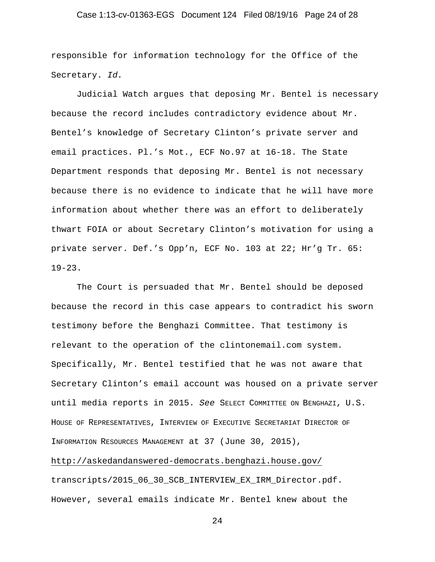## Case 1:13-cv-01363-EGS Document 124 Filed 08/19/16 Page 24 of 28

responsible for information technology for the Office of the Secretary. *Id.*

Judicial Watch argues that deposing Mr. Bentel is necessary because the record includes contradictory evidence about Mr. Bentel's knowledge of Secretary Clinton's private server and email practices. Pl.'s Mot., ECF No.97 at 16-18. The State Department responds that deposing Mr. Bentel is not necessary because there is no evidence to indicate that he will have more information about whether there was an effort to deliberately thwart FOIA or about Secretary Clinton's motivation for using a private server. Def.'s Opp'n, ECF No. 103 at 22; Hr'g Tr. 65:  $19 - 23$ .

The Court is persuaded that Mr. Bentel should be deposed because the record in this case appears to contradict his sworn testimony before the Benghazi Committee. That testimony is relevant to the operation of the clintonemail.com system. Specifically, Mr. Bentel testified that he was not aware that Secretary Clinton's email account was housed on a private server until media reports in 2015. *See* SELECT COMMITTEE ON BENGHAZI, U.S. HOUSE OF REPRESENTATIVES, INTERVIEW OF EXECUTIVE SECRETARIAT DIRECTOR OF INFORMATION RESOURCES MANAGEMENT at 37 (June 30, 2015),

http://askedandanswered-democrats.benghazi.house.gov/ transcripts/2015\_06\_30\_SCB\_INTERVIEW\_EX\_IRM\_Director.pdf. However, several emails indicate Mr. Bentel knew about the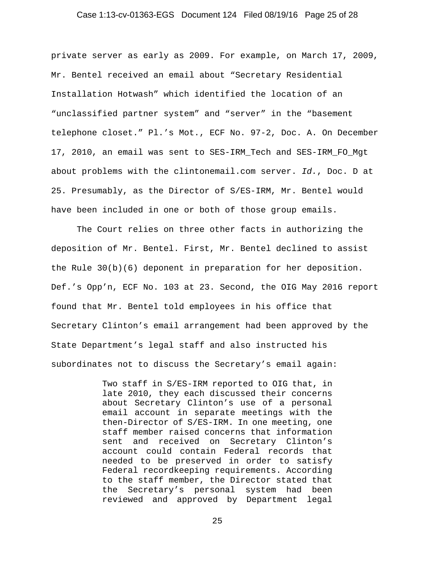## Case 1:13-cv-01363-EGS Document 124 Filed 08/19/16 Page 25 of 28

private server as early as 2009. For example, on March 17, 2009, Mr. Bentel received an email about "Secretary Residential Installation Hotwash" which identified the location of an "unclassified partner system" and "server" in the "basement telephone closet." Pl.'s Mot., ECF No. 97-2, Doc. A. On December 17, 2010, an email was sent to SES-IRM\_Tech and SES-IRM\_FO\_Mgt about problems with the clintonemail.com server. *Id.*, Doc. D at 25. Presumably, as the Director of S/ES-IRM, Mr. Bentel would have been included in one or both of those group emails.

The Court relies on three other facts in authorizing the deposition of Mr. Bentel. First, Mr. Bentel declined to assist the Rule 30(b)(6) deponent in preparation for her deposition. Def.'s Opp'n, ECF No. 103 at 23. Second, the OIG May 2016 report found that Mr. Bentel told employees in his office that Secretary Clinton's email arrangement had been approved by the State Department's legal staff and also instructed his subordinates not to discuss the Secretary's email again:

> Two staff in S/ES-IRM reported to OIG that, in late 2010, they each discussed their concerns about Secretary Clinton's use of a personal email account in separate meetings with the then-Director of S/ES-IRM. In one meeting, one staff member raised concerns that information sent and received on Secretary Clinton's account could contain Federal records that needed to be preserved in order to satisfy Federal recordkeeping requirements. According to the staff member, the Director stated that the Secretary's personal system had been reviewed and approved by Department legal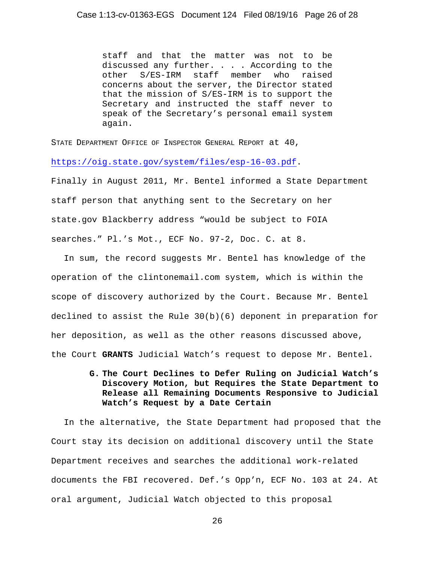staff and that the matter was not to be discussed any further. . . . According to the<br>other S/ES-IRM staff member who raised other S/ES-IRM staff member who raised concerns about the server, the Director stated that the mission of S/ES-IRM is to support the Secretary and instructed the staff never to speak of the Secretary's personal email system again.

STATE DEPARTMENT OFFICE OF INSPECTOR GENERAL REPORT at 40,

https://oig.state.gov/system/files/esp-16-03.pdf.

Finally in August 2011, Mr. Bentel informed a State Department staff person that anything sent to the Secretary on her state.gov Blackberry address "would be subject to FOIA searches." Pl.'s Mot., ECF No. 97-2, Doc. C. at 8.

In sum, the record suggests Mr. Bentel has knowledge of the operation of the clintonemail.com system, which is within the scope of discovery authorized by the Court. Because Mr. Bentel declined to assist the Rule  $30(b)(6)$  deponent in preparation for her deposition, as well as the other reasons discussed above, the Court **GRANTS** Judicial Watch's request to depose Mr. Bentel.

> **G. The Court Declines to Defer Ruling on Judicial Watch's Discovery Motion, but Requires the State Department to Release all Remaining Documents Responsive to Judicial Watch's Request by a Date Certain**

In the alternative, the State Department had proposed that the Court stay its decision on additional discovery until the State Department receives and searches the additional work-related documents the FBI recovered. Def.'s Opp'n, ECF No. 103 at 24. At oral argument, Judicial Watch objected to this proposal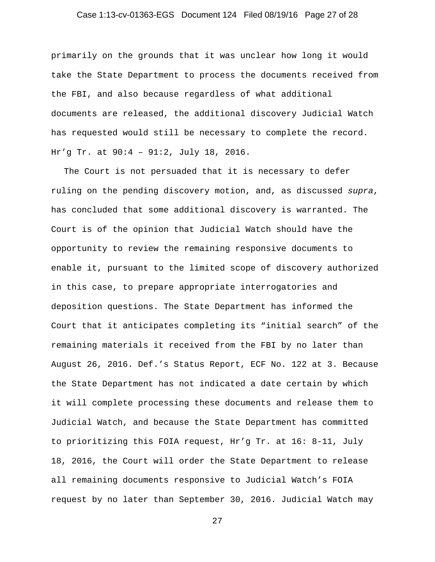## Case 1:13-cv-01363-EGS Document 124 Filed 08/19/16 Page 27 of 28

primarily on the grounds that it was unclear how long it would take the State Department to process the documents received from the FBI, and also because regardless of what additional documents are released, the additional discovery Judicial Watch has requested would still be necessary to complete the record. Hr'g Tr. at 90:4 – 91:2, July 18, 2016.

The Court is not persuaded that it is necessary to defer ruling on the pending discovery motion, and, as discussed *supra*, has concluded that some additional discovery is warranted. The Court is of the opinion that Judicial Watch should have the opportunity to review the remaining responsive documents to enable it, pursuant to the limited scope of discovery authorized in this case, to prepare appropriate interrogatories and deposition questions. The State Department has informed the Court that it anticipates completing its "initial search" of the remaining materials it received from the FBI by no later than August 26, 2016. Def.'s Status Report, ECF No. 122 at 3. Because the State Department has not indicated a date certain by which it will complete processing these documents and release them to Judicial Watch, and because the State Department has committed to prioritizing this FOIA request, Hr'g Tr. at 16: 8-11, July 18, 2016, the Court will order the State Department to release all remaining documents responsive to Judicial Watch's FOIA request by no later than September 30, 2016. Judicial Watch may